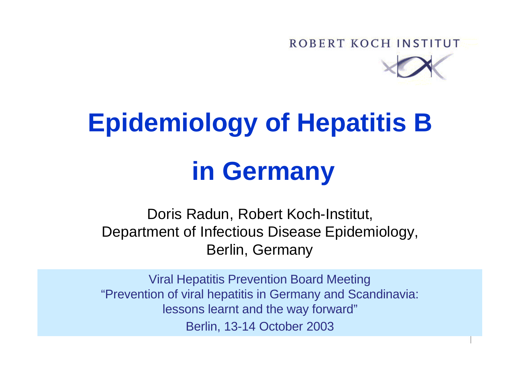ROBERT KOCH INSTITUT



# **Epidemiology of Hepatitis B in Germany**

Doris Radun, Robert Koch-Institut, Department of Infectious Disease Epidemiology, Berlin, Germany

Viral Hepatitis Prevention Board Meeting "Prevention of viral hepatitis in Germany and Scandinavia: lessons learnt and the way forward" Berlin, 13-14 October 2003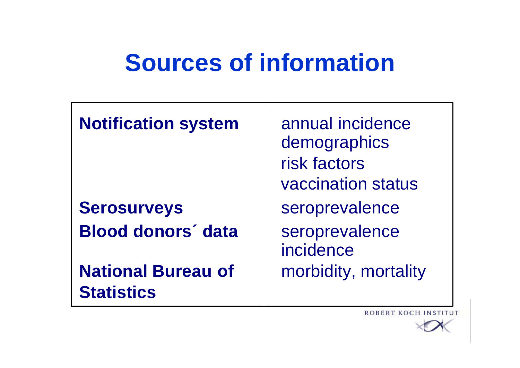## **Sources of information**

#### **Notification system** | annual incidence

#### **Serosurveys** | seroprevalence **Blood donors' data** | seroprevalence

**National Bureau of**  morbidity, mortality **Statistics**

 demographics risk factors vaccination status incidence

ROBERT KOCH INSTITU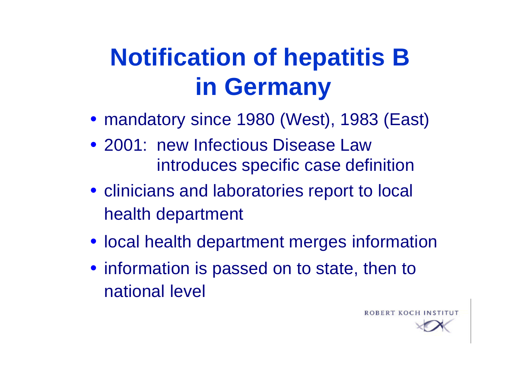## **Notification of hepatitis B in Germany**

- mandatory since 1980 (West), 1983 (East)
- 2001: new Infectious Disease Law introduces specific case definition
- clinicians and laboratories report to local health department
- local health department merges information
- information is passed on to state, then to national level

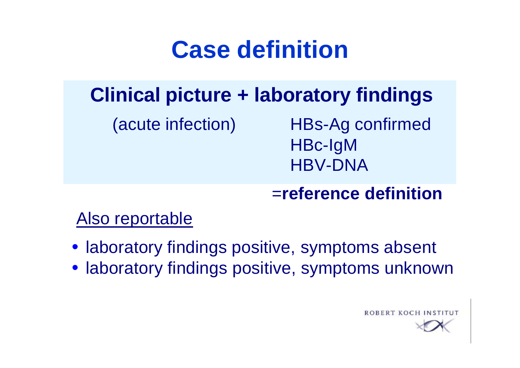### **Case definition**

### **Clinical picture + laboratory findings**

(acute infection) HBs-Ag confirmed HBc-IgM HBV-DNA

=**reference definition**

ROBERT KOCH INSTITU

#### Also reportable

- laboratory findings positive, symptoms absent
- laboratory findings positive, symptoms unknown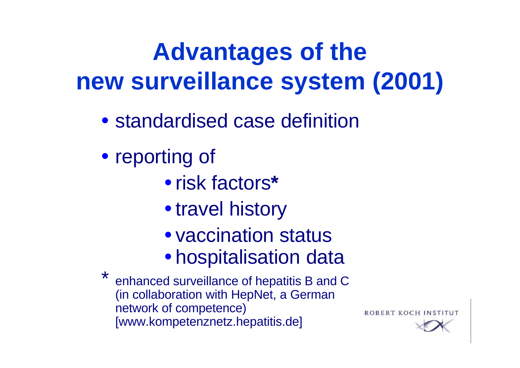## **Advantages of the new surveillance system (2001)**

- standardised case definition
- reporting of
	- •risk factors**\***
	- travel history
	- vaccination status
	- hospitalisation data

\* enhanced surveillance of hepatitis B and C (in collaboration with HepNet, a German network of competence) [www.kompetenznetz.hepatitis.de]

ROBERT KOCH INSTI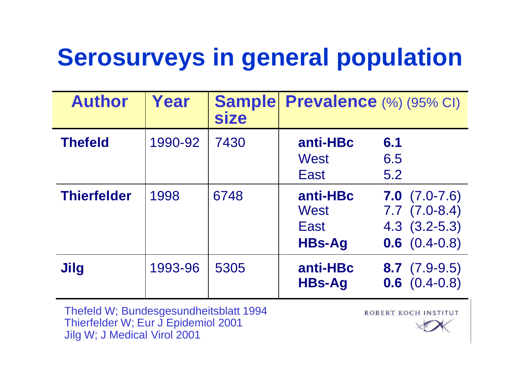## **Serosurveys in general population**

| <b>Author</b>      | Year    | <b>Sample</b><br><b>size</b> | <b>Prevalence (%) (95% CI)</b>            |                                                                                  |
|--------------------|---------|------------------------------|-------------------------------------------|----------------------------------------------------------------------------------|
| <b>Thefeld</b>     | 1990-92 | 7430                         | anti-HBc<br><b>West</b><br>East           | 6.1<br>6.5<br>5.2                                                                |
| <b>Thierfelder</b> | 1998    | 6748                         | anti-HBc<br>West<br>East<br><b>HBs-Ag</b> | $7.0 (7.0 - 7.6)$<br>$7.7$ $(7.0-8.4)$<br>$4.3$ $(3.2-5.3)$<br>$0.6$ $(0.4-0.8)$ |
| <b>Jilg</b>        | 1993-96 | 5305                         | anti-HBc<br><b>HBs-Ag</b>                 | $8.7$ $(7.9-9.5)$<br>$0.6$ $(0.4-0.8)$                                           |

Thefeld W; Bundesgesundheitsblatt 1994 Thierfelder W; Eur J Epidemiol 2001 Jilg W; J Medical Virol 2001

**ROBERT KOCH INSTITUT** 

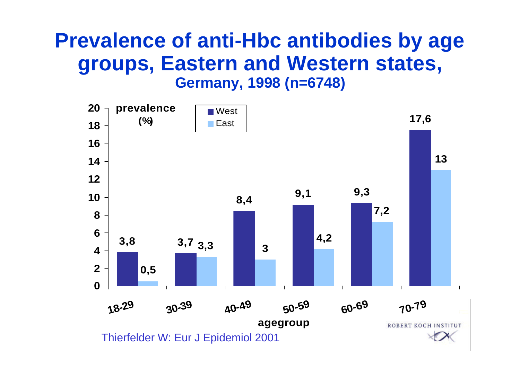#### **Prevalence of anti-Hbc antibodies by age groups, Eastern and Western states, Germany, 1998 (n=6748)**

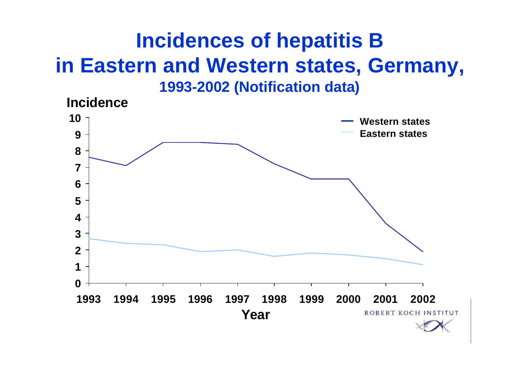### **Incidences of hepatitis B in Eastern and Western states, Germany, 1993-2002 (Notification data)**

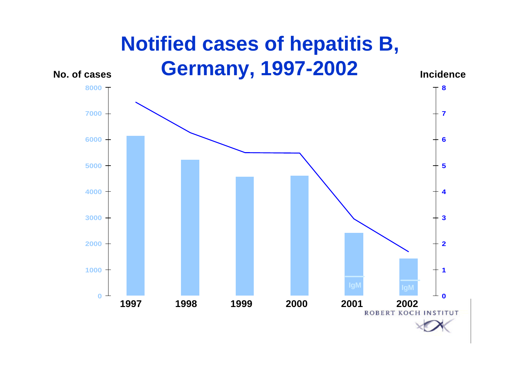### **Notified cases of hepatitis B, Germany, 1997-2002 No. of cases Incidence**

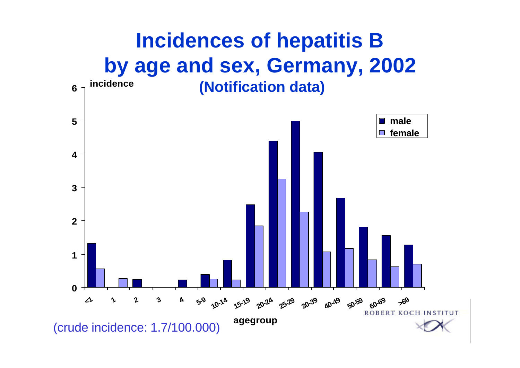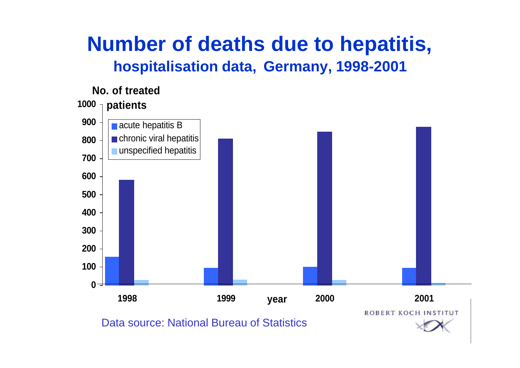#### **Number of deaths due to hepatitis, hospitalisation data, Germany, 1998-2001**



Data source: National Bureau of Statistics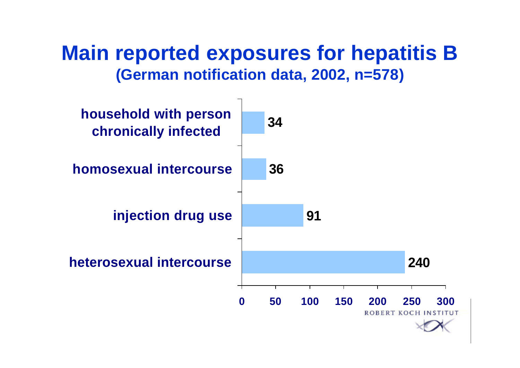**Main reported exposures for hepatitis B (German notification data, 2002, n=578)**

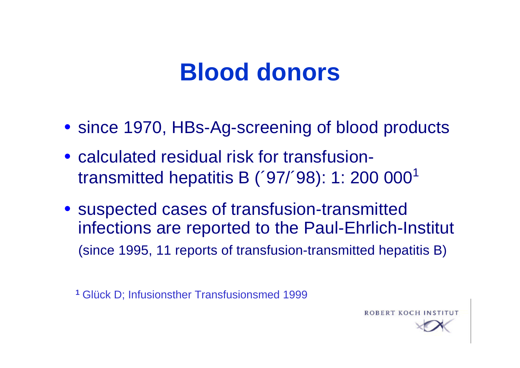### **Blood donors**

- since 1970, HBs-Ag-screening of blood products
- calculated residual risk for transfusiontransmitted hepatitis B (´97/´98): 1: 200 000<sup>1</sup>
- suspected cases of transfusion-transmitted infections are reported to the Paul-Ehrlich-Institut (since 1995, 11 reports of transfusion-transmitted hepatitis B)

**<sup>1</sup>** Glück D; Infusionsther Transfusionsmed 1999

ROBERT KOCH INST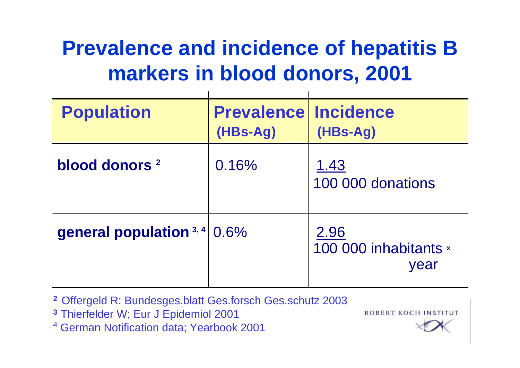### **Prevalence and incidence of hepatitis B markers in blood donors, 2001**

| <b>Population</b>              | <b>Prevalence Incidence</b><br>(HBs-Ag) | (HBs-Ag)                              |
|--------------------------------|-----------------------------------------|---------------------------------------|
| blood donors <sup>2</sup>      | 0.16%                                   | 1.43<br>100 000 donations             |
| general population $3, 4$ 0.6% |                                         | 2.96<br>100 000 inhabitants ×<br>year |

- **<sup>2</sup>** Offergeld R: Bundesges.blatt Ges.forsch Ges.schutz 2003
- **3** Thierfelder W; Eur J Epidemiol 2001
- 4 German Notification data; Yearbook 2001

ROBERT KOCH INSTIT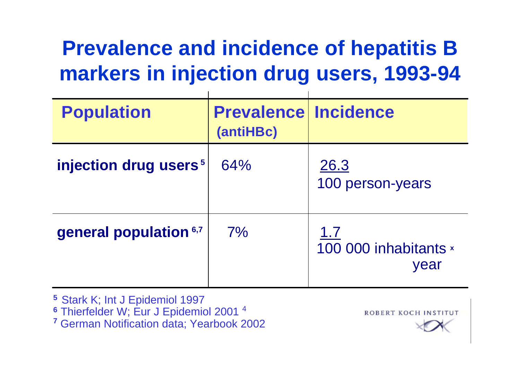### **Prevalence and incidence of hepatitis B markers in injection drug users, 1993-94**

| <b>Population</b>                 | <b>Prevalence Incidence</b><br>(antiHBc) |                                      |
|-----------------------------------|------------------------------------------|--------------------------------------|
| injection drug users <sup>5</sup> | 64%                                      | 26.3<br>100 person-years             |
| general population 6,7            | 7%                                       | 1.7<br>100 000 inhabitants ×<br>year |

**<sup>5</sup>** Stark K; Int J Epidemiol 1997 **6** Thierfelder W; Eur J Epidemiol 2001 <sup>4</sup>

**7** German Notification data; Yearbook 2002

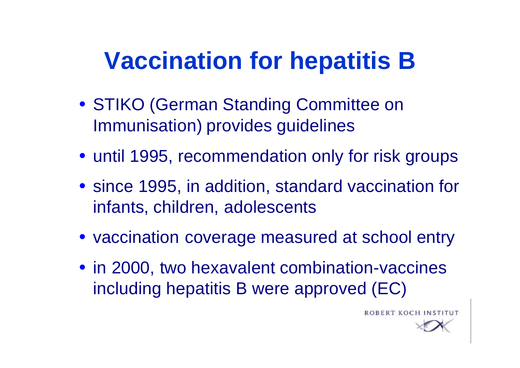## **Vaccination for hepatitis B**

- STIKO (German Standing Committee on Immunisation) provides guidelines
- until 1995, recommendation only for risk groups
- since 1995, in addition, standard vaccination for infants, children, adolescents
- vaccination coverage measured at school entry
- in 2000, two hexavalent combination-vaccines including hepatitis B were approved (EC)

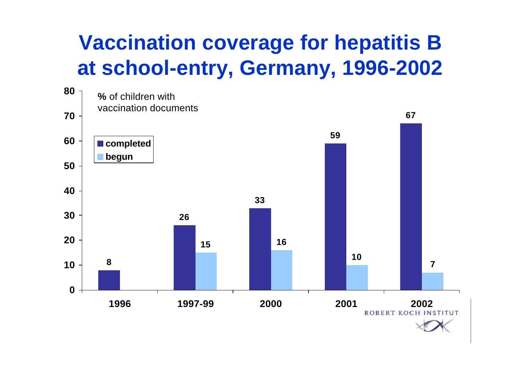### **Vaccination coverage for hepatitis B at school-entry, Germany, 1996-2002**

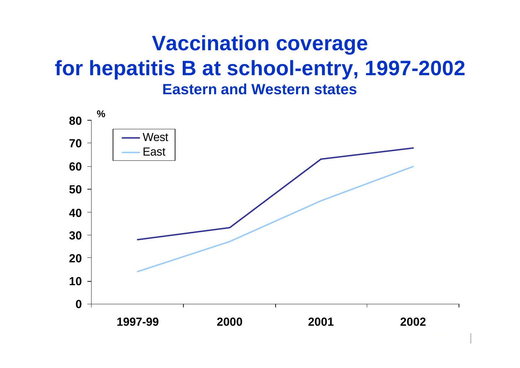#### **Vaccination coverage for hepatitis B at school-entry, 1997-2002 Eastern and Western states**

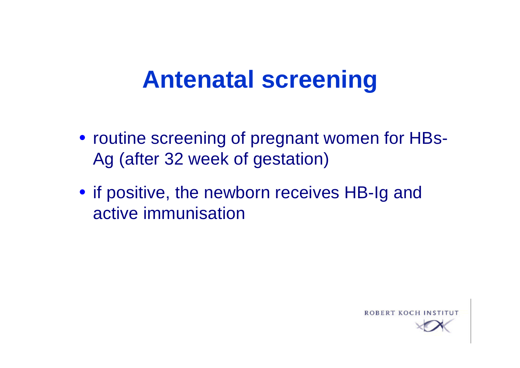### **Antenatal screening**

- routine screening of pregnant women for HBs-Ag (after 32 week of gestation)
- if positive, the newborn receives HB-Ig and active immunisation

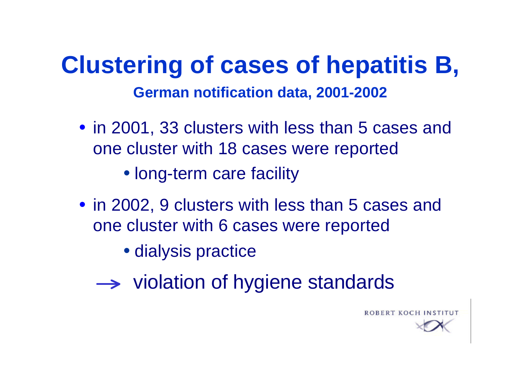**Clustering of cases of hepatitis B, German notification data, 2001-2002**

• in 2001, 33 clusters with less than 5 cases and one cluster with 18 cases were reported

• long-term care facility

- in 2002, 9 clusters with less than 5 cases and one cluster with 6 cases were reported
	- dialysis practice
	- $\rightarrow$  violation of hygiene standards